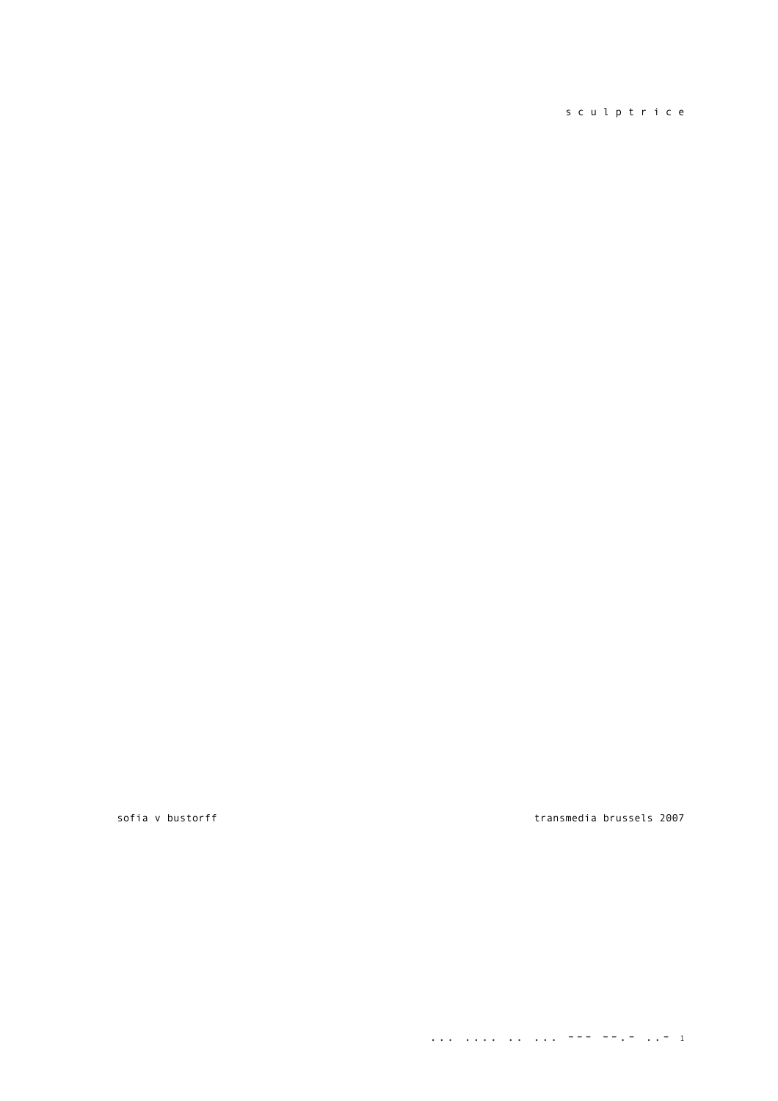# s c u l p t r i c e

sofia v bustorff transmedia brussels 2007

.... .... ... ...  $-+++$  ...  $-1$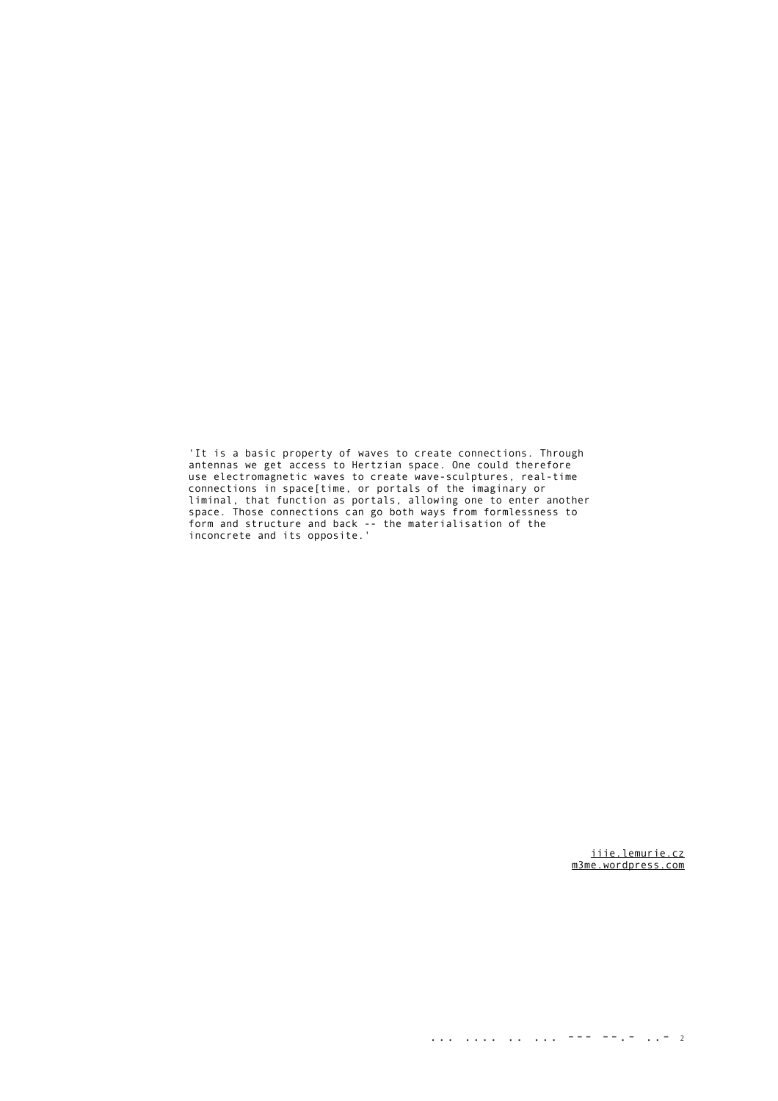'It is a basic property of waves to create connections. Through antennas we get access to Hertzian space. One could therefore use electromagnetic waves to create wave-sculptures, real-time connections in space[time, or portals of the imaginary or liminal, that function as portals, allowing one to enter another space. Those connections can go both ways from formlessness to form and structure and back -- the materialisation of the inconcrete and its opposite.'

> [iiie.lemurie.cz](http://iiie.lemurie.cz/) [m3me.wordpress.com](http://m3me.wordpress.com/)

... .... .. ... --- --.- ... 2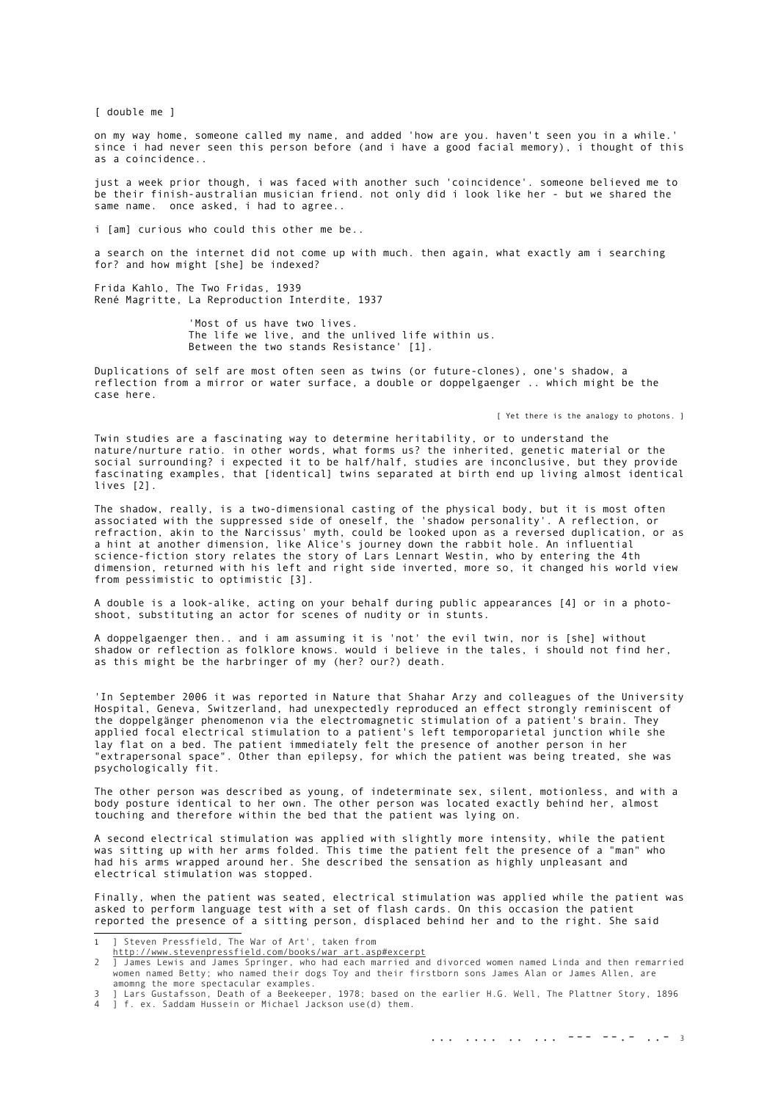[ double me ]

on my way home, someone called my name, and added 'how are you. haven't seen you in a while.' since i had never seen this person before (and i have a good facial memory), i thought of this as a coincidence..

just a week prior though, i was faced with another such 'coincidence'. someone believed me to be their finish-australian musician friend. not only did i look like her - but we shared the same name. once asked, i had to agree..

i [am] curious who could this other me be..

a search on the internet did not come up with much. then again, what exactly am i searching for? and how might [she] be indexed?

Frida Kahlo, The Two Fridas, 1939 René Magritte, La Reproduction Interdite, 1937

> 'Most of us have two lives. The life we live, and the unlived life within us. Between the two stands Resistance' [\[1\]](#page-2-0).

Duplications of self are most often seen as twins (or future-clones), one's shadow, a reflection from a mirror or water surface, a double or doppelgaenger .. which might be the case here.

[ Yet there is the analogy to photons. ]

Twin studies are a fascinating way to determine heritability, or to understand the nature/nurture ratio. in other words, what forms us? the inherited, genetic material or the social surrounding? i expected it to be half/half, studies are inconclusive, but they provide fascinating examples, that [identical] twins separated at birth end up living almost identical lives [\[2\]](#page-2-1).

The shadow, really, is a two-dimensional casting of the physical body, but it is most often associated with the suppressed side of oneself, the 'shadow personality'. A reflection, or refraction, akin to the Narcissus' myth, could be looked upon as a reversed duplication, or as a hint at another dimension, like Alice's journey down the rabbit hole. An influential science-fiction story relates the story of Lars Lennart Westin, who by entering the 4th dimension, returned with his left and right side inverted, more so, it changed his world view from pessimistic to optimistic [\[3\]](#page-2-2).

A double is a look-alike, acting on your behalf during public appearances [\[4\]](#page-2-3) or in a photoshoot, substituting an actor for scenes of nudity or in stunts.

A doppelgaenger then.. and i am assuming it is 'not' the evil twin, nor is [she] without shadow or reflection as folklore knows. would i believe in the tales, i should not find her, as this might be the harbringer of my (her? our?) death.

'In September 2006 it was reported in Nature that Shahar Arzy and colleagues of the University Hospital, Geneva, Switzerland, had unexpectedly reproduced an effect strongly reminiscent of the doppelgänger phenomenon via the electromagnetic stimulation of a patient's brain. They applied focal electrical stimulation to a patient's left temporoparietal junction while she lay flat on a bed. The patient immediately felt the presence of another person in her "extrapersonal space". Other than epilepsy, for which the patient was being treated, she was psychologically fit.

The other person was described as young, of indeterminate sex, silent, motionless, and with a body posture identical to her own. The other person was located exactly behind her, almost touching and therefore within the bed that the patient was lying on.

A second electrical stimulation was applied with slightly more intensity, while the patient was sitting up with her arms folded. This time the patient felt the presence of a "man" who had his arms wrapped around her. She described the sensation as highly unpleasant and electrical stimulation was stopped.

Finally, when the patient was seated, electrical stimulation was applied while the patient was asked to perform language test with a set of flash cards. On this occasion the patient reported the presence of a sitting person, displaced behind her and to the right. She said

<span id="page-2-3"></span><span id="page-2-2"></span>3 ] Lars Gustafsson, Death of a Beekeeper, 1978; based on the earlier H.G. Well, The Plattner Story, 1896 4 ] f. ex. Saddam Hussein or Michael Jackson use(d) them.

<span id="page-2-0"></span><sup>1</sup> ] Steven Pressfield, The War of Art', taken from

<span id="page-2-1"></span>

[http://www.stevenpressfield.com/books/war\\_art.asp#excerpt](http://www.stevenpressfield.com/books/war_art.asp)<br>I James Lewis and James Springer, who had each married and divorced women named Linda and then remarried [<br>women named Betty; who named their dogs Toy and their fir amomng the more spectacular examples.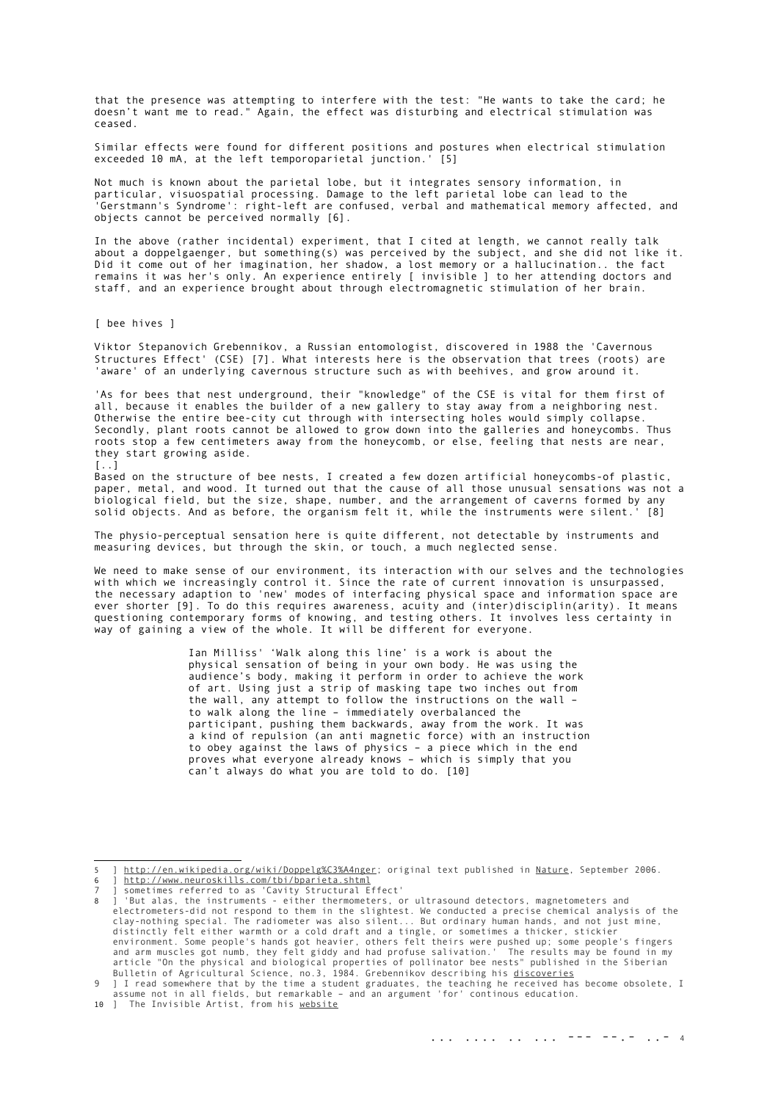that the presence was attempting to interfere with the test: "He wants to take the card; he doesn't want me to read." Again, the effect was disturbing and electrical stimulation was ceased.

Similar effects were found for different positions and postures when electrical stimulation exceeded 10 mA. at the left temporoparietal iunction.' [5] exceeded 10 mA, at the left temporoparietal junction.'

Not much is known about the parietal lobe, but it integrates sensory information, in particular, visuospatial processing. Damage to the left parietal lobe can lead to the 'Gerstmann's Syndrome': right-left are confused, verbal and mathematical memory affected, and objects cannot be perceived normally [\[6\]](#page-3-1).

In the above (rather incidental) experiment, that I cited at length, we cannot really talk about a doppelgaenger, but something(s) was perceived by the subject, and she did not like it. Did it come out of her imagination, her shadow, a lost memory or a hallucination.. the fact remains it was her's only. An experience entirely [ invisible ] to her attending doctors and staff, and an experience brought about through electromagnetic stimulation of her brain.

[ bee hives ]

Viktor Stepanovich Grebennikov, a Russian entomologist, discovered in 1988 the 'Cavernous Structures Effect' (CSE) [\[7\]](#page-3-2). What interests here is the observation that trees (roots) are 'aware' of an underlying cavernous structure such as with beehives, and grow around it.

'As for bees that nest underground, their "knowledge" of the CSE is vital for them first of all, because it enables the builder of a new gallery to stay away from a neighboring nest. Otherwise the entire bee-city cut through with intersecting holes would simply collapse. Secondly, plant roots cannot be allowed to grow down into the galleries and honeycombs. Thus roots stop a few centimeters away from the honeycomb, or else, feeling that nests are near, they start growing aside. [..]

Based on the structure of bee nests, I created a few dozen artificial honeycombs-of plastic,<br>paper, metal, and wood. It turned out that the cause of all those unusual sensations was not a paper, metal, and wood. It turned out that the cause of all those unusual sensations was not a biological field, but the size, shape, number, and the arrangement of caverns formed by any solid objects. And as before, the organism felt it, while the instruments were silent.' [\[8\]](#page-3-3)

The physio-perceptual sensation here is quite different, not detectable by instruments and measuring devices, but through the skin, or touch, a much neglected sense.

We need to make sense of our environment, its interaction with our selves and the technologies with which we increasingly control it. Since the rate of current innovation is unsurpassed, the necessary adaption to 'new' modes of interfacing physical space and information space are ever shorter [\[9\]](#page-3-4). To do this requires awareness, acuity and (inter)disciplin(arity). It means questioning contemporary forms of knowing, and testing others. It involves less certainty in way of gaining a view of the whole. It will be different for everyone.

> Ian Milliss' 'Walk along this line' is a work is about the physical sensation of being in your own body. He was using the audience's body, making it perform in order to achieve the work of art. Using just a strip of masking tape two inches out from the wall, any attempt to follow the instructions on the wall – to walk along the line – immediately overbalanced the participant, pushing them backwards, away from the work. It was a kind of repulsion (an anti magnetic force) with an instruction to obey against the laws of physics – a piece which in the end proves what everyone already knows – which is simply that you can't always do what you are told to do. [\[10\]](#page-3-5)

<span id="page-3-1"></span><span id="page-3-0"></span><sup>5 ]</sup> [http://en.wikipedia.org/wiki/Doppelg%C3%A4nger;](http://en.wikipedia.org/wiki/Doppelg?nger) original text published in [Nature,](http://www.nature.com/news/2006/060918/full/060918-4.html) September 2006. http://www.neuroskills.com/tbi/bparieta.shtml

<span id="page-3-3"></span><span id="page-3-2"></span><sup>7</sup> ] sometimes referred to as 'Cavity Structural Effect' 8 ] 'But alas, the instruments - either thermometers, or ultrasound detectors, magnetometers and electrometers-did not respond to them in the slightest. We conducted a precise chemical analysis of the clay-nothing special. The radiometer was also silent... But ordinary human hands, and not just mine, distinctly felt either warmth or a cold draft and a tingle, or sometimes a thicker, stickier<br>environment. Some people's hands got heavier, others felt theirs were pushed up; some people's fingers<br>and arm muscles got numb,

<span id="page-3-4"></span><sup>9</sup> ] I read somewhere that by the time a student graduates, the teaching he received has become obsolete, I assume not in all fields, but remarkable – and an argument 'for' continous education.<br>10 ] The Invisible Artist, from his <u>website</u>

<span id="page-3-5"></span>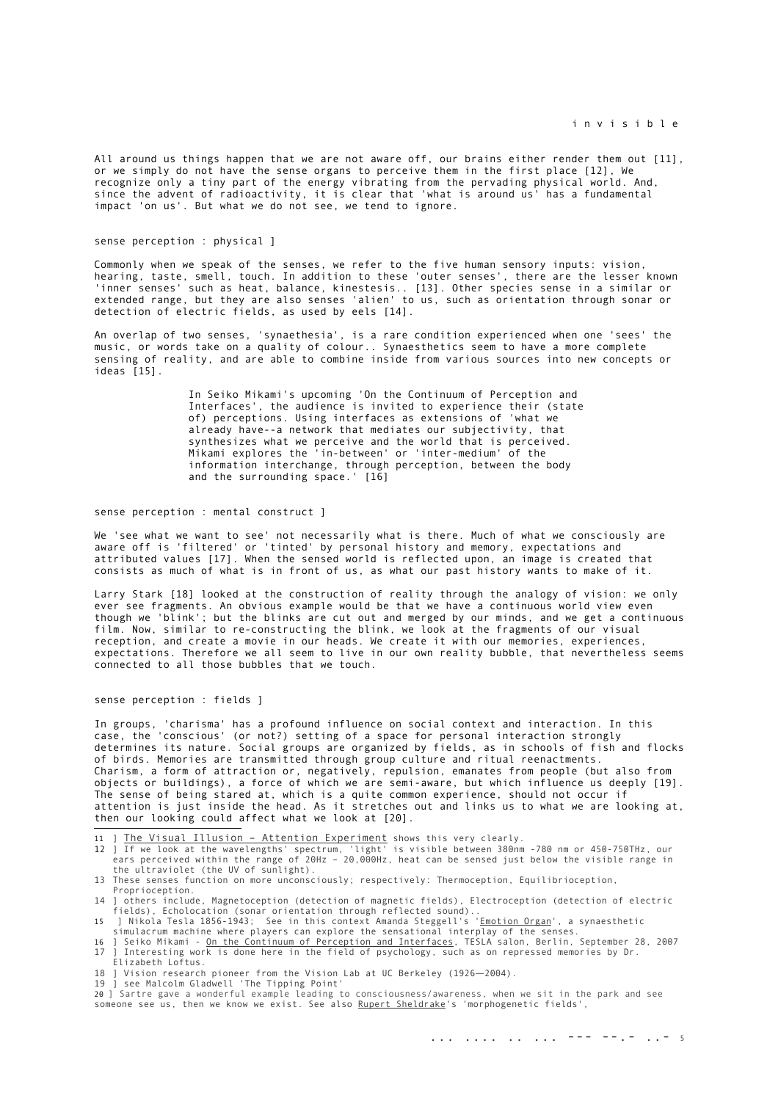All around us things happen that we are not aware off, our brains either render them out [\[11\]](#page-4-0), or we simply do not have the sense organs to perceive them in the first place [\[12\]](#page-4-1), We recognize only a tiny part of the energy vibrating from the pervading physical world. And, since the advent of radioactivity, it is clear that 'what is around us' has a fundamental impact 'on us'. But what we do not see, we tend to ignore.

### sense perception : physical ]

Commonly when we speak of the senses, we refer to the five human sensory inputs: vision, hearing, taste, smell, touch. In addition to these 'outer senses', there are the lesser known 'inner senses' such as heat, balance, kinestesis.. [\[13\]](#page-4-2). Other species sense in a similar or extended range, but they are also senses 'alien' to us, such as orientation through sonar or detection of electric fields, as used by eels [\[14\]](#page-4-3).

An overlap of two senses, 'synaethesia', is a rare condition experienced when one 'sees' the music, or words take on a quality of colour.. Synaesthetics seem to have a more complete sensing of reality, and are able to combine inside from various sources into new concepts or ideas [\[15\]](#page-4-4).

> In Seiko Mikami's upcoming 'On the Continuum of Perception and Interfaces', the audience is invited to experience their (state of) perceptions. Using interfaces as extensions of 'what we already have--a network that mediates our subjectivity, that synthesizes what we perceive and the world that is perceived. Mikami explores the 'in-between' or 'inter-medium' of the information interchange, through perception, between the body and the surrounding space.' [\[16\]](#page-4-5)

# sense perception : mental construct ]

We 'see what we want to see' not necessarily what is there. Much of what we consciously are aware off is 'filtered' or 'tinted' by personal history and memory, expectations and attributed values [\[17\]](#page-4-6). When the sensed world is reflected upon, an image is created that consists as much of what is in front of us, as what our past history wants to make of it.

Larry Stark [\[18\]](#page-4-7) looked at the construction of reality through the analogy of vision: we only ever see fragments. An obvious example would be that we have a continuous world view even though we 'blink'; but the blinks are cut out and merged by our minds, and we get a continuous film. Now, similar to re-constructing the blink, we look at the fragments of our visual reception, and create a movie in our heads. We create it with our memories, experiences, expectations. Therefore we all seem to live in our own reality bubble, that nevertheless seems connected to all those bubbles that we touch.

#### sense perception : fields ]

In groups, 'charisma' has a profound influence on social context and interaction. In this case, the 'conscious' (or not?) setting of a space for personal interaction strongly determines its nature. Social groups are organized by fields, as in schools of fish and flocks of birds. Memories are transmitted through group culture and ritual reenactments. Charism, a form of attraction or, negatively, repulsion, emanates from people (but also from objects or buildings), a force of which we are semi-aware, but which influence us deeply [\[19\]](#page-4-8). The sense of being stared at, which is a quite common experience, should not occur if attention is just inside the head. As it stretches out and links us to what we are looking at, then our looking could affect what we look at [\[20\]](#page-4-9).

- <span id="page-4-1"></span>
- <span id="page-4-0"></span>11 <u>] [The Visual Illusion – Attention Experiment](http://www.youtube.com/watch?v=nkn3wRyb9Bk)</u> shows this very clearly.<br>12 ] If we look at the wavelengths' spectrum, 'light' is visible between 380nm -780 nm or 450-750THz, our<br>ears perceived within the range of 20Hz the ultraviolet (the UV of sunlight).
- <span id="page-4-2"></span>13 These senses function on more unconsciously; respectively: Thermoception, Equilibrioception, Proprioception.
- <span id="page-4-3"></span>14 ] others include, Magnetoception (detection of magnetic fields), Electroception (detection of electric fields), Echolocation (sonar orientation through reflected sound).. 15 ] Nikola Tesla 1856-1943; See in this context Amanda Steggell's '[Emotion Organ](http://www.notam02.no/motherboard/synaesthesia/EMO/)', a synaesthetic
- <span id="page-4-4"></span>simulacrum machine where players can explore the sensational interplay of the senses.<br>16 J Seiko Mikami - <u>On the Continuum of Perception and Interfaces</u>, TESLA salon, Berlin, September 28, 2007
- <span id="page-4-6"></span><span id="page-4-5"></span>17 ] Interesting work is done here in the field of psychology, such as on repressed memories by Dr. Elizabeth Loftus.
- <span id="page-4-7"></span>18 ] Vision research pioneer from the Vision Lab at UC Berkeley (1926―2004). 19 ] see Malcolm Gladwell 'The Tipping Point'
- <span id="page-4-8"></span>

<span id="page-4-9"></span>20 ] Sartre gave a wonderful example leading to consciousness/awareness, when we sit in the park and see someone see us, then we know we exist. See also [Rupert Sheldrake](http://www.sheldrake.org/homepage.html)'s 'morphogenetic fields',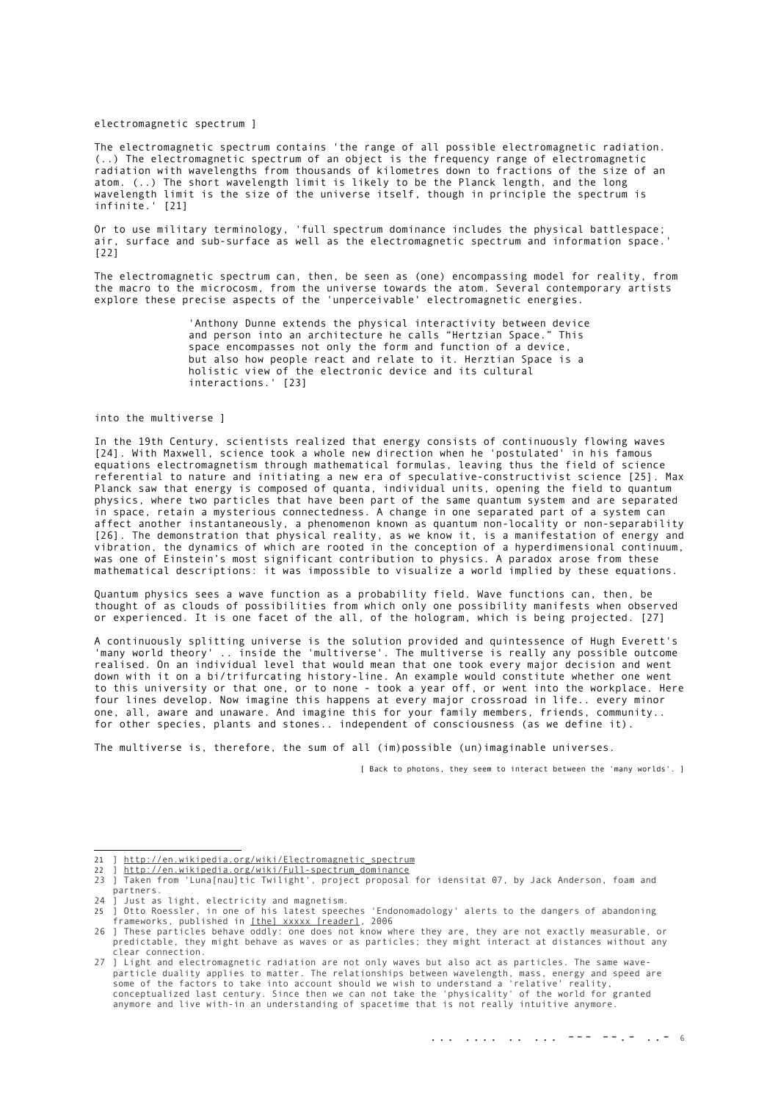#### electromagnetic spectrum ]

The electromagnetic spectrum contains 'the range of all possible electromagnetic radiation. (..) The electromagnetic spectrum of an object is the frequency range of electromagnetic radiation with wavelengths from thousands of kilometres down to fractions of the size of an atom. (..) The short wavelength limit is likely to be the Planck length, and the long wavelength limit is the size of the universe itself, though in principle the spectrum is infinite.' [\[21\]](#page-5-0)

Or to use military terminology, 'full spectrum dominance includes the physical battlespace; air, surface and sub-surface as well as the electromagnetic spectrum and information space.' [\[22\]](#page-5-1)

The electromagnetic spectrum can, then, be seen as (one) encompassing model for reality, from the macro to the microcosm, from the universe towards the atom. Several contemporary artists explore these precise aspects of the 'unperceivable' electromagnetic energies.

> 'Anthony Dunne extends the physical interactivity between device and person into an architecture he calls "Hertzian Space." This space encompasses not only the form and function of a device, but also how people react and relate to it. Herztian Space is a holistic view of the electronic device and its cultural interactions.' [\[23\]](#page-5-2)

## into the multiverse ]

In the 19th Century, scientists realized that energy consists of continuously flowing waves [\[24\]](#page-5-3). With Maxwell, science took a whole new direction when he 'postulated' in his famous equations electromagnetism through mathematical formulas, leaving thus the field of science referential to nature and initiating a new era of speculative-constructivist science [\[25\]](#page-5-4). Max Planck saw that energy is composed of quanta, individual units, opening the field to quantum physics, where two particles that have been part of the same quantum system and are separated in space, retain a mysterious connectedness. A change in one separated part of a system can affect another instantaneously, a phenomenon known as quantum non-locality or non-separability [\[26\]](#page-5-5). The demonstration that physical reality, as we know it, is a manifestation of energy and vibration, the dynamics of which are rooted in the conception of a hyperdimensional continuum, was one of Einstein's most significant contribution to physics. A paradox arose from these mathematical descriptions: it was impossible to visualize a world implied by these equations.

Quantum physics sees a wave function as a probability field. Wave functions can, then, be thought of as clouds of possibilities from which only one possibility manifests when observed or experienced. It is one facet of the all, of the hologram, which is being projected. [\[27\]](#page-5-6)

A continuously splitting universe is the solution provided and quintessence of Hugh Everett's 'many world theory' .. inside the 'multiverse'. The multiverse is really any possible outcome realised. On an individual level that would mean that one took every major decision and went down with it on a bi/trifurcating history-line. An example would constitute whether one went to this university or that one, or to none - took a year off, or went into the workplace. Here four lines develop. Now imagine this happens at every major crossroad in life.. every minor one, all, aware and unaware. And imagine this for your family members, friends, community.. for other species, plants and stones.. independent of consciousness (as we define it).

The multiverse is, therefore, the sum of all (im)possible (un)imaginable universes.

[ Back to photons, they seem to interact between the 'many worlds'. ]

- <span id="page-5-3"></span>24 ] Just as light, electricity and magnetism.
- <span id="page-5-4"></span>in one of his latest speeches 'Endonomadology' alerts to the dangers of abandoning 25 J Otto Roessier, in one of his latest speeches 'End<br>frameworks, published in [\[the\] xxxxx \[reader\],](http://1010.co.uk/xxxxx_publication.htm) 2006

<span id="page-5-0"></span><sup>21 ]</sup> [http://en.wikipedia.org/wiki/Electromagnetic\\_spectrum](http://en.wikipedia.org/wiki/Electromagnetic_spectrum)<br>22 ] http://en.wikipedia.org/wiki/Eull-spectrum.dominance

<span id="page-5-2"></span><span id="page-5-1"></span><sup>22 ] &</sup>lt;u>http://en.wikipedia.org/wiki/Full-spectrum\_dominance</u><br>23 ] Taken from 'Luna[nau]tic Twilight', project proposal for idensitat 07, by Jack Anderson, foam and partners.

<span id="page-5-5"></span><sup>26</sup> ] These particles behave oddly: one does not know where they are, they are not exactly measurable, or predictable, they might behave as waves or as particles; they might interact at distances without any clear connection.

<span id="page-5-6"></span><sup>27</sup> ] Light and electromagnetic radiation are not only waves but also act as particles. The same waveparticle duality applies to matter. The relationships between wavelength, mass, energy and speed are<br>some of the factors to take into account should we wish to understand a 'relative' reality,<br>conceptualized last century.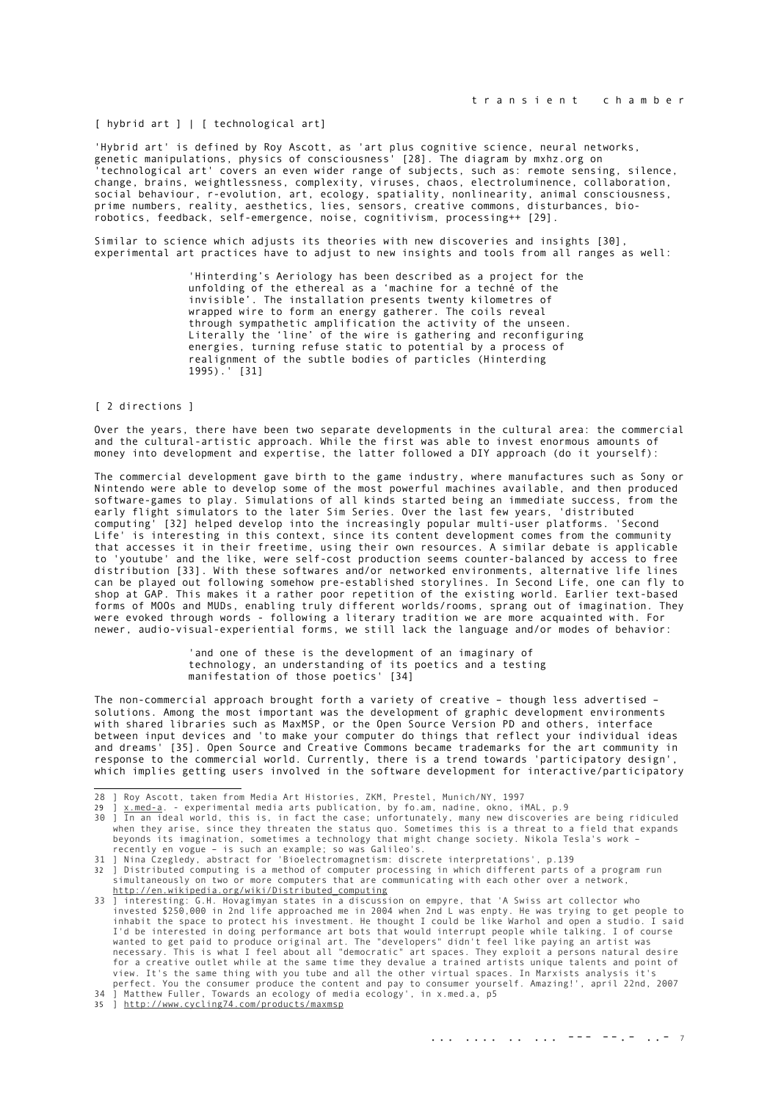# [ hybrid art ] | [ technological art]

'Hybrid art' is defined by Roy Ascott, as 'art plus cognitive science, neural networks, genetic manipulations, physics of consciousness' [\[28\]](#page-6-0). The diagram by mxhz.org on 'technological art' covers an even wider range of subjects, such as: remote sensing, silence, change, brains, weightlessness, complexity, viruses, chaos, electroluminence, collaboration, social behaviour, r-evolution, art, ecology, spatiality, nonlinearity, animal consciousness, prime numbers, reality, aesthetics, lies, sensors, creative commons, disturbances, biorobotics, feedback, self-emergence, noise, cognitivism, processing++ [\[29\]](#page-6-1).

Similar to science which adjusts its theories with new discoveries and insights [\[30\]](#page-6-2), experimental art practices have to adjust to new insights and tools from all ranges as well:

> 'Hinterding's Aeriology has been described as a project for the unfolding of the ethereal as a 'machine for a techné of the invisible'. The installation presents twenty kilometres of wrapped wire to form an energy gatherer. The coils reveal through sympathetic amplification the activity of the unseen. Literally the 'line' of the wire is gathering and reconfiguring energies, turning refuse static to potential by a process of realignment of the subtle bodies of particles (Hinterding 1995).' [\[31\]](#page-6-3)

## [ 2 directions ]

Over the years, there have been two separate developments in the cultural area: the commercial and the cultural-artistic approach. While the first was able to invest enormous amounts of money into development and expertise, the latter followed a DIY approach (do it yourself):

The commercial development gave birth to the game industry, where manufactures such as Sony or Nintendo were able to develop some of the most powerful machines available, and then produced software-games to play. Simulations of all kinds started being an immediate success, from the early flight simulators to the later Sim Series. Over the last few years, 'distributed computing' [\[32\]](#page-6-4) helped develop into the increasingly popular multi-user platforms. 'Second Life' is interesting in this context, since its content development comes from the community that accesses it in their freetime, using their own resources. A similar debate is applicable to 'youtube' and the like, were self-cost production seems counter-balanced by access to free distribution [\[33\]](#page-6-5). With these softwares and/or networked environments, alternative life lines can be played out following somehow pre-established storylines. In Second Life, one can fly to shop at GAP. This makes it a rather poor repetition of the existing world. Earlier text-based forms of MOOs and MUDs, enabling truly different worlds/rooms, sprang out of imagination. They were evoked through words - following a literary tradition we are more acquainted with. For newer, audio-visual-experiential forms, we still lack the language and/or modes of behavior:

> 'and one of these is the development of an imaginary of technology, an understanding of its poetics and a testing manifestation of those poetics' [\[34\]](#page-6-6)

The non-commercial approach brought forth a variety of creative – though less advertised – solutions. Among the most important was the development of graphic development environments with shared libraries such as MaxMSP, or the Open Source Version PD and others, interface between input devices and 'to make your computer do things that reflect your individual ideas and dreams' [\[35\]](#page-6-7). Open Source and Creative Commons became trademarks for the art community in response to the commercial world. Currently, there is a trend towards 'participatory design', which implies getting users involved in the software development for interactive/participatory

<span id="page-6-3"></span>31 ] Nina Czegledy, abstract for 'Bioelectromagnetism: discrete interpretations', p.139

<span id="page-6-4"></span>32 ] Distributed computing is a method of computer processing in which different parts of a program run simultaneously on two or more computers that are communicating with each other over a network, [http://en.wikipedia.org/wiki/Distributed\\_computing](http://en.wikipedia.org/wiki/Distributed_computing)

<span id="page-6-1"></span><span id="page-6-0"></span><sup>28 ]</sup> Roy Ascott, taken from Media Art Histories, ZKM, Prestel, Munich/NY, 1997<br>29 ] <u>x.med-a</u>. - experimental media arts publication, by fo.am, nadine, okno, iMAL, p.9

<span id="page-6-2"></span><sup>30</sup> ] In an ideal world, this is, in fact the case; unfortunately, many new discoveries are being ridiculed when they arise, since they threaten the status quo. Sometimes this is a threat to a field that expands beyonds its imagination, sometimes a technology that might change society. Nikola Tesla's work – recently en vogue – is such an example; so was Galileo's.

<span id="page-6-5"></span><sup>33</sup> ] interesting: G.H. Hovagimyan states in a discussion on empyre, that 'A Swiss art collector who invested \$250,000 in 2nd life approached me in 2004 when 2nd L was enpty. He was trying to get people to inhabit the space to protect his investment. He thought I could be like Warhol and open a studio. I said I'd be interested in doing performance art bots that would interrupt people while talking. I of course<br>wanted to get paid to produce original art. The "developers" didn't feel like paying an artist was<br>necessary. This is w

<span id="page-6-7"></span><span id="page-6-6"></span>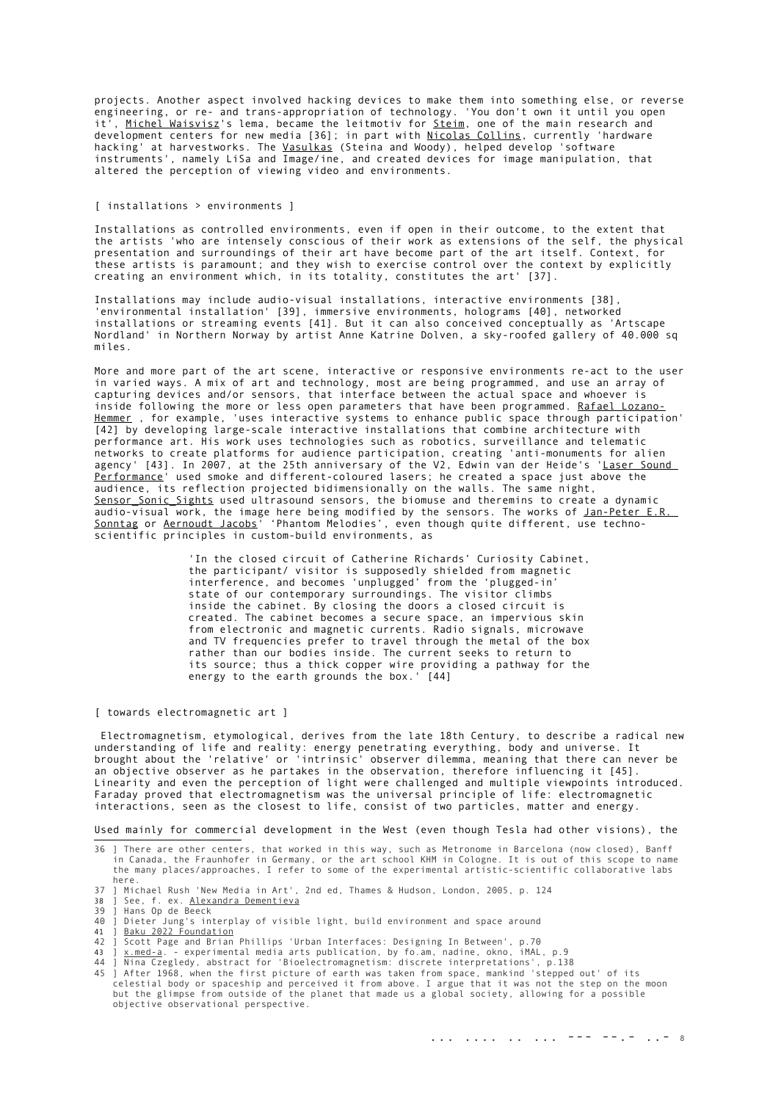projects. Another aspect involved hacking devices to make them into something else, or reverse engineering, or re- and trans-appropriation of technology. 'You don't own it until you open it<sup>7</sup>, [Michel Waisvisz](http://crackle.org/)'s lema, became the leitmotiv for [Steim,](http://www.steim.org/) one of the main research and development centers for new media [\[36\]](#page-7-0); in part with [Nicolas Collins,](http://www.nicolascollins.com/home.htm) currently 'hardware hacking' at harvestworks. The <u>Vasulkas</u> (Steina and Woody), helped develop 'software instruments', namely LiSa and Image/ine, and created devices for image manipulation, that altered the perception of viewing video and environments.

# [ installations > environments ]

Installations as controlled environments, even if open in their outcome, to the extent that the artists 'who are intensely conscious of their work as extensions of the self, the physical presentation and surroundings of their art have become part of the art itself. Context, for these artists is paramount; and they wish to exercise control over the context by explicitly creating an environment which, in its totality, constitutes the art' [\[37\]](#page-7-1).

Installations may include audio-visual installations, interactive environments [\[38\]](#page-7-2), 'environmental installation' [\[39\]](#page-7-3), immersive environments, holograms [\[40\]](#page-7-4), networked installations or streaming events [\[41\]](#page-7-5). But it can also conceived conceptually as 'Artscape Nordland' in Northern Norway by artist Anne Katrine Dolven, a sky-roofed gallery of 40.000 sq miles.

More and more part of the art scene, interactive or responsive environments re-act to the user in varied ways. A mix of art and technology, most are being programmed, and use an array of capturing devices and/or sensors, that interface between the actual space and whoever is inside following the more or less open parameters that have been programmed. Rafael Lozano Hemmer, for example, 'uses interactive systems to enhance public space through participation' [\[42\]](#page-7-6) by developing large-scale interactive installations that combine architecture with performance art. His work uses technologies such as robotics, surveillance and telematic networks to create platforms for audience participation, creating 'anti-monuments for alien agency' [\[43\]](#page-7-7). In 2007, at the 25th anniversary of the V2, Edwin van der Heide's '[Laser Sound](http://www.evdh.net/lsp/index.html) [Performance](http://www.evdh.net/lsp/index.html)' used smoke and different-coloured lasers; he created a space just above the audience, its reflection projected bidimensionally on the walls. The same night, [Sensor\\_Sonic\\_Sights](http://www.xmira.com/sss/) used ultrasound sensors, the biomuse and theremins to create a dynamic audio-visual work, the image here being modified by the sensors. The works of [Jan-Peter E.R.](http://www.sonarc-ion.de/) [Sonntag](http://www.sonarc-ion.de/) or [Aernoudt Jacobs](http://www.tmrx.org/)' 'Phantom Melodies', even though quite different, use technoscientific principles in custom-build environments, as

> 'In the closed circuit of Catherine Richards' Curiosity Cabinet, the participant/ visitor is supposedly shielded from magnetic interference, and becomes 'unplugged' from the 'plugged-in' state of our contemporary surroundings. The visitor climbs inside the cabinet. By closing the doors a closed circuit is created. The cabinet becomes a secure space, an impervious skin from electronic and magnetic currents. Radio signals, microwave and TV frequencies prefer to travel through the metal of the box rather than our bodies inside. The current seeks to return to its source; thus a thick copper wire providing a pathway for the energy to the earth grounds the box.' [\[44\]](#page-7-8)

#### [ towards electromagnetic art ]

 Electromagnetism, etymological, derives from the late 18th Century, to describe a radical new understanding of life and reality: energy penetrating everything, body and universe. It brought about the 'relative' or 'intrinsic' observer dilemma, meaning that there can never be an objective observer as he partakes in the observation, therefore influencing it [\[45\]](#page-7-9). Linearity and even the perception of light were challenged and multiple viewpoints introduced. Faraday proved that electromagnetism was the universal principle of life: electromagnetic interactions, seen as the closest to life, consist of two particles, matter and energy.

Used mainly for commercial development in the West (even though Tesla had other visions), the

- <span id="page-7-1"></span>37 ] Michael Rush 'New Media in Art', 2nd ed, Thames & Hudson, London, 2005, p. 124
- <span id="page-7-2"></span>38 ] See, f. ex. [Alexandra Dementieva](http://www.alexdementieva.org/)
- <span id="page-7-3"></span>39 ] Hans Op de Beeck<br>40 1 Dieter Jung's in
- <span id="page-7-4"></span>nans up ac secentary of visible light, build environment and space around
- <span id="page-7-5"></span>41 ] <u>Baku 2022 Foundation</u><br>42 ] Scott Page and Brian
- <span id="page-7-6"></span>**Edge 2022 From action:**<br>Scott Page and Brian Phillips 'Urban Interfaces: Designing In Between', p.70
- 
- <span id="page-7-8"></span><span id="page-7-7"></span>43 ] <u>x.med-a</u>. - experimental media arts publication, by fo.am, nadine, okno, iMAL, p.9<br>44 ] Nina Czegledy, abstract for 'Bioelectromagnetism: discrete interpretations', p.138<br>45 ] After 1968, when the first picture of ea
- <span id="page-7-9"></span>celestial body or spaceship and perceived it from above. I argue that it was not the step on the moon but the glimpse from outside of the planet that made us a global society, allowing for a possible objective observational perspective.

<span id="page-7-0"></span><sup>36</sup> ] There are other centers, that worked in this way, such as Metronome in Barcelona (now closed), Banff in Canada, the Fraunhofer in Germany, or the art school KHM in Cologne. It is out of this scope to name the many places/approaches, I refer to some of the experimental artistic-scientific collaborative labs here.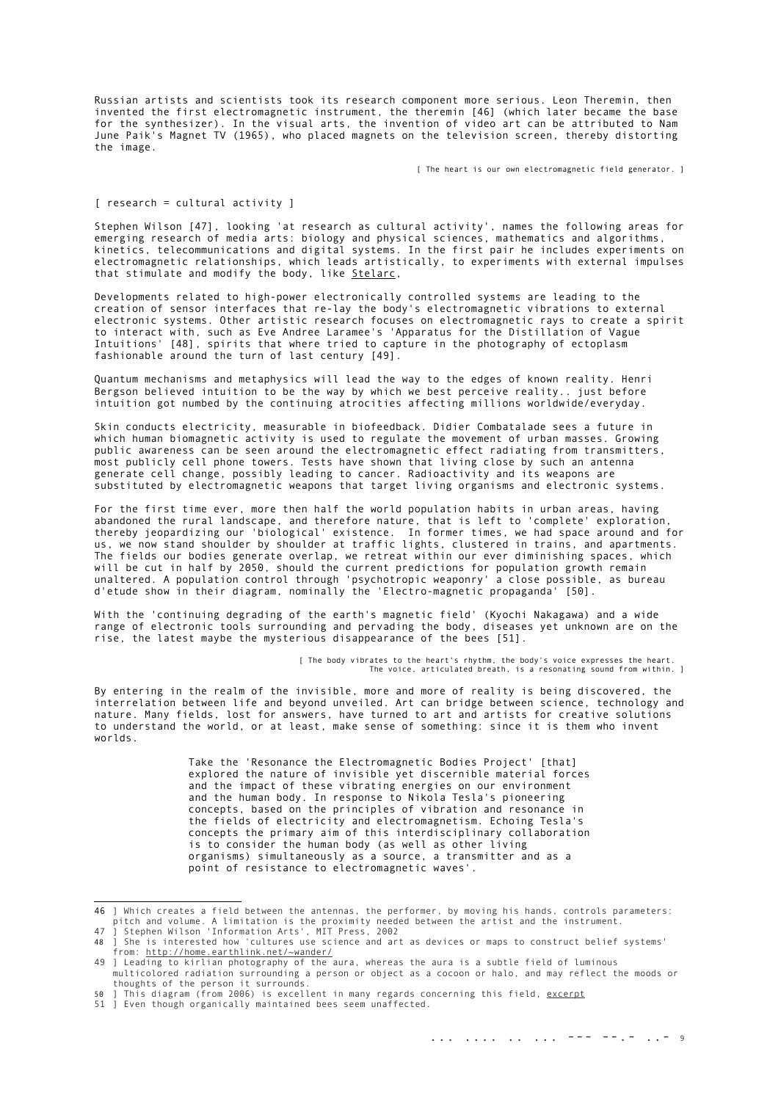Russian artists and scientists took its research component more serious. Leon Theremin, then invented the first electromagnetic instrument, the theremin [\[46\]](#page-8-0) (which later became the base for the synthesizer). In the visual arts, the invention of video art can be attributed to Nam June Paik's Magnet TV (1965), who placed magnets on the television screen, thereby distorting the image.

[ The heart is our own electromagnetic field generator. ]

## [ research = cultural activity ]

Stephen Wilson [\[47\]](#page-8-1), looking 'at research as cultural activity', names the following areas for emerging research of media arts: biology and physical sciences, mathematics and algorithms, kinetics, telecommunications and digital systems. In the first pair he includes experiments on electromagnetic relationships, which leads artistically, to experiments with external impulses that stimulate and modify the body, like [Stelarc,](http://www.stelarc.va.com.au/)

Developments related to high-power electronically controlled systems are leading to the creation of sensor interfaces that re-lay the body's electromagnetic vibrations to external electronic systems. Other artistic research focuses on electromagnetic rays to create a spirit to interact with, such as Eve Andree Laramee's 'Apparatus for the Distillation of Vague Intuitions' [\[48\]](#page-8-2), spirits that where tried to capture in the photography of ectoplasm fashionable around the turn of last century [\[49\]](#page-8-3).

Quantum mechanisms and metaphysics will lead the way to the edges of known reality. Henri Bergson believed intuition to be the way by which we best perceive reality.. just before intuition got numbed by the continuing atrocities affecting millions worldwide/everyday.

Skin conducts electricity, measurable in biofeedback. Didier Combatalade sees a future in which human biomagnetic activity is used to regulate the movement of urban masses. Growing public awareness can be seen around the electromagnetic effect radiating from transmitters, most publicly cell phone towers. Tests have shown that living close by such an antenna generate cell change, possibly leading to cancer. Radioactivity and its weapons are substituted by electromagnetic weapons that target living organisms and electronic systems.

For the first time ever, more then half the world population habits in urban areas, having abandoned the rural landscape, and therefore nature, that is left to 'complete' exploration, thereby jeopardizing our 'biological' existence. In former times, we had space around and for us, we now stand shoulder by shoulder at traffic lights, clustered in trains, and apartments. The fields our bodies generate overlap, we retreat within our ever diminishing spaces, which will be cut in half by 2050, should the current predictions for population growth remain unaltered. A population control through 'psychotropic weaponry' a close possible, as bureau d'etude show in their diagram, nominally the 'Electro-magnetic propaganda' [\[50\]](#page-8-4).

With the 'continuing degrading of the earth's magnetic field' (Kyochi Nakagawa) and a wide range of electronic tools surrounding and pervading the body, diseases yet unknown are on the rise, the latest maybe the mysterious disappearance of the bees [\[51\]](#page-8-5).

> [ The body vibrates to the heart's rhythm, the body's voice expresses the heart. The voice, articulated breath, is a resonating sound from within. ]

By entering in the realm of the invisible, more and more of reality is being discovered, the interrelation between life and beyond unveiled. Art can bridge between science, technology and nature. Many fields, lost for answers, have turned to art and artists for creative solutions to understand the world, or at least, make sense of something: since it is them who invent worlds.

> Take the 'Resonance the Electromagnetic Bodies Project' [that] explored the nature of invisible yet discernible material forces and the impact of these vibrating energies on our environment and the human body. In response to Nikola Tesla's pioneering concepts, based on the principles of vibration and resonance in the fields of electricity and electromagnetism. Echoing Tesla's concepts the primary aim of this interdisciplinary collaboration is to consider the human body (as well as other living organisms) simultaneously as a source, a transmitter and as a point of resistance to electromagnetic waves'.

<span id="page-8-0"></span><sup>46 ]</sup> Which creates a field between the antennas, the performer, by moving his hands, controls parameters:<br>pitch and volume. A limitation is the proximity needed between the artist and the instrument.<br>47 ] Stephen Wilson 'I

<span id="page-8-2"></span><span id="page-8-1"></span>

<sup>48</sup> ] She is interested how 'cultures use science and art as devices or maps to construct belief systems' from:<http://home.earthlink.net/~wander/> 49 ] Leading to kirlian photography of the aura, whereas the aura is a subtle field of luminous

<span id="page-8-3"></span>multicolored radiation surrounding a person or object as a cocoon or halo, and may reflect the moods or thoughts of the person it surrounds.

<span id="page-8-4"></span><sup>50</sup> ] This diagram (from 2006) is excellent in many regards concerning this field, [excerpt](http://ut.yt.t0.or.at/site/index.html)

<span id="page-8-5"></span><sup>51</sup> ] Even though organically maintained bees seem unaffected.